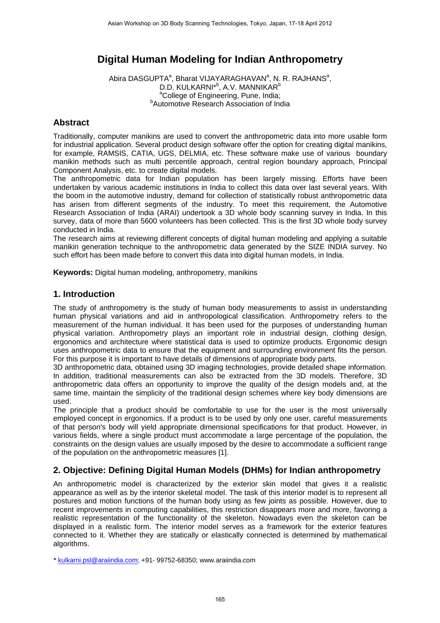# **Digital Human Modeling for Indian Anthropometry**

Abira DASGUPTA<sup>a</sup>, Bharat VIJAYARAGHAVAN<sup>a</sup>, N. R. RAJHANS<sup>a</sup>, D.D. KULKARNI\*<sup>b</sup>, A.V. MANNIKAR<sup>b</sup> <sup>a</sup>College of Engineering, Pune, India; **Automotive Research Association of India** 

### **Abstract**

Traditionally, computer manikins are used to convert the anthropometric data into more usable form for industrial application. Several product design software offer the option for creating digital manikins, for example, RAMSIS, CATIA, UGS, DELMIA, etc. These software make use of various boundary manikin methods such as multi percentile approach, central region boundary approach, Principal Component Analysis, etc. to create digital models.

The anthropometric data for Indian population has been largely missing. Efforts have been undertaken by various academic institutions in India to collect this data over last several years. With the boom in the automotive industry, demand for collection of statistically robust anthropometric data has arisen from different segments of the industry. To meet this requirement, the Automotive Research Association of India (ARAI) undertook a 3D whole body scanning survey in India. In this survey, data of more than 5600 volunteers has been collected. This is the first 3D whole body survey conducted in India.

The research aims at reviewing different concepts of digital human modeling and applying a suitable manikin generation technique to the anthropometric data generated by the SIZE INDIA survey. No such effort has been made before to convert this data into digital human models, in India.

**Keywords:** Digital human modeling, anthropometry, manikins

#### **1. Introduction**

The study of anthropometry is the study of human body measurements to assist in understanding human physical variations and aid in anthropological classification. Anthropometry refers to the measurement of the human individual. It has been used for the purposes of understanding human physical variation. Anthropometry plays an important role in industrial design, clothing design, ergonomics and architecture where statistical data is used to optimize products. Ergonomic design uses anthropometric data to ensure that the equipment and surrounding environment fits the person. For this purpose it is important to have details of dimensions of appropriate body parts.

3D anthropometric data, obtained using 3D imaging technologies, provide detailed shape information. In addition, traditional measurements can also be extracted from the 3D models. Therefore, 3D anthropometric data offers an opportunity to improve the quality of the design models and, at the same time, maintain the simplicity of the traditional design schemes where key body dimensions are used.

The principle that a product should be comfortable to use for the user is the most universally employed concept in ergonomics. If a product is to be used by only one user, careful measurements of that person's body will yield appropriate dimensional specifications for that product. However, in various fields, where a single product must accommodate a large percentage of the population, the constraints on the design values are usually imposed by the desire to accommodate a sufficient range of the population on the anthropometric measures [1].

## **2. Objective: Defining Digital Human Models (DHMs) for Indian anthropometry**

An anthropometric model is characterized by the exterior skin model that gives it a realistic appearance as well as by the interior skeletal model. The task of this interior model is to represent all postures and motion functions of the human body using as few joints as possible. However, due to recent improvements in computing capabilities, this restriction disappears more and more, favoring a realistic representation of the functionality of the skeleton. Nowadays even the skeleton can be displayed in a realistic form. The interior model serves as a framework for the exterior features connected to it. Whether they are statically or elastically connected is determined by mathematical algorithms.

\* kulkarni.psl@araiindia.com; +91- 99752-68350; www.araiindia.com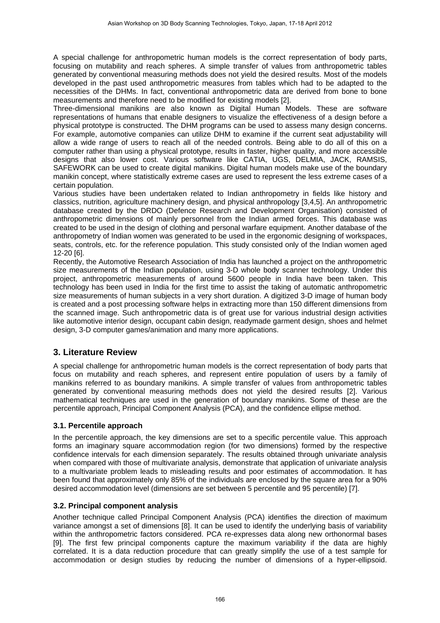A special challenge for anthropometric human models is the correct representation of body parts, focusing on mutability and reach spheres. A simple transfer of values from anthropometric tables generated by conventional measuring methods does not yield the desired results. Most of the models developed in the past used anthropometric measures from tables which had to be adapted to the necessities of the DHMs. In fact, conventional anthropometric data are derived from bone to bone measurements and therefore need to be modified for existing models [2].

Three-dimensional manikins are also known as Digital Human Models. These are software representations of humans that enable designers to visualize the effectiveness of a design before a physical prototype is constructed. The DHM programs can be used to assess many design concerns. For example, automotive companies can utilize DHM to examine if the current seat adjustability will allow a wide range of users to reach all of the needed controls. Being able to do all of this on a computer rather than using a physical prototype, results in faster, higher quality, and more accessible designs that also lower cost. Various software like CATIA, UGS, DELMIA, JACK, RAMSIS, SAFEWORK can be used to create digital manikins. Digital human models make use of the boundary manikin concept, where statistically extreme cases are used to represent the less extreme cases of a certain population.

Various studies have been undertaken related to Indian anthropometry in fields like history and classics, nutrition, agriculture machinery design, and physical anthropology [3,4,5]. An anthropometric database created by the DRDO (Defence Research and Development Organisation) consisted of anthropometric dimensions of mainly personnel from the Indian armed forces. This database was created to be used in the design of clothing and personal warfare equipment. Another database of the anthropometry of Indian women was generated to be used in the ergonomic designing of workspaces, seats, controls, etc. for the reference population. This study consisted only of the Indian women aged 12-20 [6].

Recently, the Automotive Research Association of India has launched a project on the anthropometric size measurements of the Indian population, using 3-D whole body scanner technology. Under this project, anthropometric measurements of around 5600 people in India have been taken. This technology has been used in India for the first time to assist the taking of automatic anthropometric size measurements of human subjects in a very short duration. A digitized 3-D image of human body is created and a post processing software helps in extracting more than 150 different dimensions from the scanned image. Such anthropometric data is of great use for various industrial design activities like automotive interior design, occupant cabin design, readymade garment design, shoes and helmet design, 3-D computer games/animation and many more applications.

## **3. Literature Review**

A special challenge for anthropometric human models is the correct representation of body parts that focus on mutability and reach spheres, and represent entire population of users by a family of manikins referred to as boundary manikins. A simple transfer of values from anthropometric tables generated by conventional measuring methods does not yield the desired results [2]. Various mathematical techniques are used in the generation of boundary manikins. Some of these are the percentile approach, Principal Component Analysis (PCA), and the confidence ellipse method.

#### **3.1. Percentile approach**

In the percentile approach, the key dimensions are set to a specific percentile value. This approach forms an imaginary square accommodation region (for two dimensions) formed by the respective confidence intervals for each dimension separately. The results obtained through univariate analysis when compared with those of multivariate analysis, demonstrate that application of univariate analysis to a multivariate problem leads to misleading results and poor estimates of accommodation. It has been found that approximately only 85% of the individuals are enclosed by the square area for a 90% desired accommodation level (dimensions are set between 5 percentile and 95 percentile) [7].

#### **3.2. Principal component analysis**

Another technique called Principal Component Analysis (PCA) identifies the direction of maximum variance amongst a set of dimensions [8]. It can be used to identify the underlying basis of variability within the anthropometric factors considered. PCA re-expresses data along new orthonormal bases [9]. The first few principal components capture the maximum variability if the data are highly correlated. It is a data reduction procedure that can greatly simplify the use of a test sample for accommodation or design studies by reducing the number of dimensions of a hyper-ellipsoid.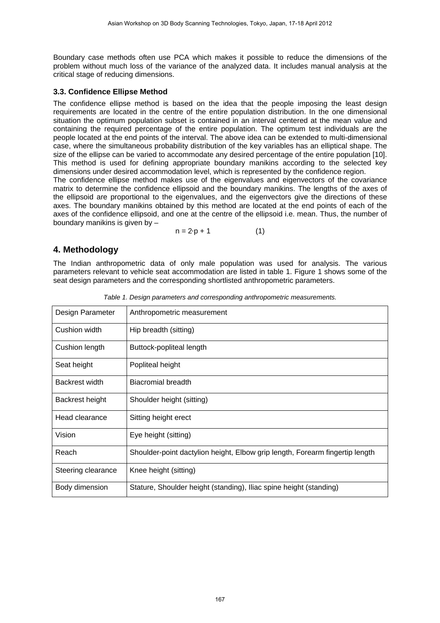Boundary case methods often use PCA which makes it possible to reduce the dimensions of the problem without much loss of the variance of the analyzed data. It includes manual analysis at the critical stage of reducing dimensions.

#### **3.3. Confidence Ellipse Method**

The confidence ellipse method is based on the idea that the people imposing the least design requirements are located in the centre of the entire population distribution. In the one dimensional situation the optimum population subset is contained in an interval centered at the mean value and containing the required percentage of the entire population. The optimum test individuals are the people located at the end points of the interval. The above idea can be extended to multi-dimensional case, where the simultaneous probability distribution of the key variables has an elliptical shape. The size of the ellipse can be varied to accommodate any desired percentage of the entire population [10]. This method is used for defining appropriate boundary manikins according to the selected key dimensions under desired accommodation level, which is represented by the confidence region.

The confidence ellipse method makes use of the eigenvalues and eigenvectors of the covariance matrix to determine the confidence ellipsoid and the boundary manikins. The lengths of the axes of the ellipsoid are proportional to the eigenvalues, and the eigenvectors give the directions of these axes. The boundary manikins obtained by this method are located at the end points of each of the axes of the confidence ellipsoid, and one at the centre of the ellipsoid i.e. mean. Thus, the number of boundary manikins is given by –

 $n = 2 \cdot p + 1$  (1)

### **4. Methodology**

The Indian anthropometric data of only male population was used for analysis. The various parameters relevant to vehicle seat accommodation are listed in table 1. Figure 1 shows some of the seat design parameters and the corresponding shortlisted anthropometric parameters.

| Design Parameter   | Anthropometric measurement                                                   |
|--------------------|------------------------------------------------------------------------------|
| Cushion width      | Hip breadth (sitting)                                                        |
| Cushion length     | Buttock-popliteal length                                                     |
| Seat height        | Popliteal height                                                             |
| Backrest width     | Biacromial breadth                                                           |
| Backrest height    | Shoulder height (sitting)                                                    |
| Head clearance     | Sitting height erect                                                         |
| Vision             | Eye height (sitting)                                                         |
| Reach              | Shoulder-point dactylion height, Elbow grip length, Forearm fingertip length |
| Steering clearance | Knee height (sitting)                                                        |
| Body dimension     | Stature, Shoulder height (standing), Iliac spine height (standing)           |

*Table 1. Design parameters and corresponding anthropometric measurements.*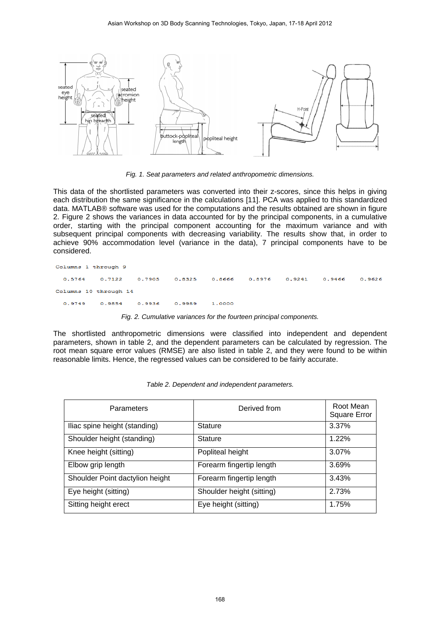

*Fig. 1. Seat parameters and related anthropometric dimensions.* 

This data of the shortlisted parameters was converted into their z-scores, since this helps in giving each distribution the same significance in the calculations [11]. PCA was applied to this standardized data. MATLAB® software was used for the computations and the results obtained are shown in figure 2. Figure 2 shows the variances in data accounted for by the principal components, in a cumulative order, starting with the principal component accounting for the maximum variance and with subsequent principal components with decreasing variability. The results show that, in order to achieve 90% accommodation level (variance in the data), 7 principal components have to be considered.

```
Columns 1 through 9
            0.71220.7905
                                            0.8666
                                                       0.8976
                                                                 0.92410.9466
                                                                                      0.96260.5764
                                  0.8325
Columns 10 through 14
  0.9749
            0.9854
                       0.9936
                                 0.9989
                                            1.0000
```
*Fig. 2. Cumulative variances for the fourteen principal components.* 

The shortlisted anthropometric dimensions were classified into independent and dependent parameters, shown in table 2, and the dependent parameters can be calculated by regression. The root mean square error values (RMSE) are also listed in table 2, and they were found to be within reasonable limits. Hence, the regressed values can be considered to be fairly accurate.

| Parameters                      | Derived from              | Root Mean<br><b>Square Error</b> |
|---------------------------------|---------------------------|----------------------------------|
| Iliac spine height (standing)   | <b>Stature</b>            | 3.37%                            |
| Shoulder height (standing)      | <b>Stature</b>            | 1.22%                            |
| Knee height (sitting)           | Popliteal height          | 3.07%                            |
| Elbow grip length               | Forearm fingertip length  | 3.69%                            |
| Shoulder Point dactylion height | Forearm fingertip length  | 3.43%                            |
| Eye height (sitting)            | Shoulder height (sitting) | 2.73%                            |
| Sitting height erect            | Eye height (sitting)      | 1.75%                            |

|  | Table 2. Dependent and independent parameters. |
|--|------------------------------------------------|
|  |                                                |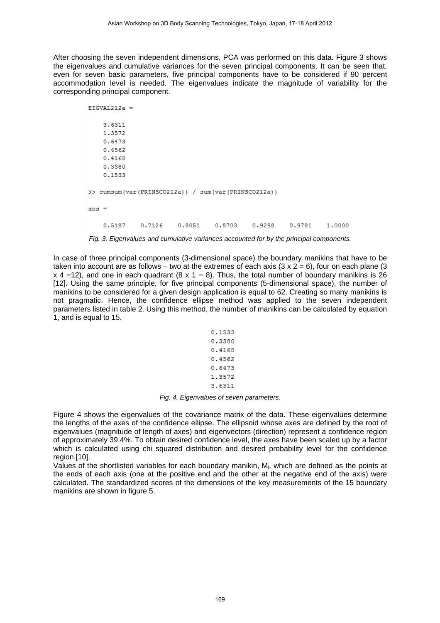After choosing the seven independent dimensions, PCA was performed on this data. Figure 3 shows the eigenvalues and cumulative variances for the seven principal components. It can be seen that, even for seven basic parameters, five principal components have to be considered if 90 percent accommodation level is needed. The eigenvalues indicate the magnitude of variability for the corresponding principal component.

|         | $EIGVAL212a =$ |        |        |                                                     |        |        |        |
|---------|----------------|--------|--------|-----------------------------------------------------|--------|--------|--------|
|         | 3.6311         |        |        |                                                     |        |        |        |
|         | 1,3572         |        |        |                                                     |        |        |        |
|         | 0.6473         |        |        |                                                     |        |        |        |
|         | 0.4562         |        |        |                                                     |        |        |        |
|         | 0.4168         |        |        |                                                     |        |        |        |
|         | 0.3380         |        |        |                                                     |        |        |        |
|         | 0.1533         |        |        |                                                     |        |        |        |
|         |                |        |        | >> cumsum(var(PRINSCO212a)) / sum(var(PRINSCO212a)) |        |        |        |
| $ans =$ |                |        |        |                                                     |        |        |        |
|         | 0.5187         | 0.7126 | 0.8051 | 0.8703                                              | 0.9298 | 0.9781 | 1,0000 |

*Fig. 3. Eigenvalues and cumulative variances accounted for by the principal components.* 

In case of three principal components (3-dimensional space) the boundary manikins that have to be taken into account are as follows – two at the extremes of each axis  $(3 \times 2 = 6)$ , four on each plane  $(3 \times 2 = 6)$  $x$  4 =12), and one in each quadrant (8 x 1 = 8). Thus, the total number of boundary manikins is 26 [12]. Using the same principle, for five principal components (5-dimensional space), the number of manikins to be considered for a given design application is equal to 62. Creating so many manikins is not pragmatic. Hence, the confidence ellipse method was applied to the seven independent parameters listed in table 2. Using this method, the number of manikins can be calculated by equation 1, and is equal to 15.

| 0.1533 |
|--------|
| 0.3380 |
| 0.4168 |
| 0.4562 |
| 0.6473 |
| 1.3572 |
| 3.6311 |

*Fig. 4. Eigenvalues of seven parameters.* 

Figure 4 shows the eigenvalues of the covariance matrix of the data. These eigenvalues determine the lengths of the axes of the confidence ellipse. The ellipsoid whose axes are defined by the root of eigenvalues (magnitude of length of axes) and eigenvectors (direction) represent a confidence region of approximately 39.4%. To obtain desired confidence level, the axes have been scaled up by a factor which is calculated using chi squared distribution and desired probability level for the confidence region [10].

Values of the shortlisted variables for each boundary manikin, Mi , which are defined as the points at the ends of each axis (one at the positive end and the other at the negative end of the axis) were calculated. The standardized scores of the dimensions of the key measurements of the 15 boundary manikins are shown in figure 5.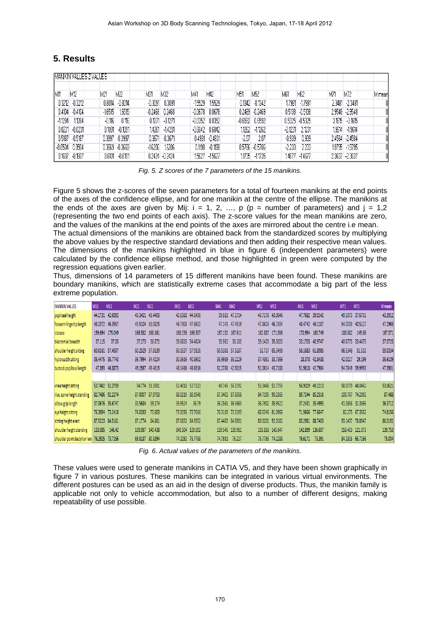## **5. Results**

|           |           | MANIKIN VALUES Z VALUES |           |           |           |           |           |         |                   |           |                |        |                 |        |
|-----------|-----------|-------------------------|-----------|-----------|-----------|-----------|-----------|---------|-------------------|-----------|----------------|--------|-----------------|--------|
| M11       | M12       | M21                     | M22       | M31       | M32       | M41       | M42       | M51     | M52               | M61       | M62            | M71    | M72             | M mean |
| 0.3212    | $-0.3212$ | 0.8014                  | $-0.8014$ | $-0.3091$ | 0.3091    | $-15529$  | 1.5529    |         | $0.1342 - 0.1342$ | .7981     | $-17981$       | 2.3481 | $-2.3481$       | Û      |
| 0.4104    | $-0.4104$ | $-16515$                | 1.6515    | $-0.2468$ | 0.2468    | $-0.0678$ | 0.0678    |         | 0.2469 -0.2469    | 0.5138    | $-0.5138$      |        | 2.9548 - 2.9548 | O      |
| $-11284$  | 1.1284    | -0.116                  | 0.116     | 0.1271    | $-0.1271$ | $-0.0352$ | 0.0352    |         | $-0.6592$ 0.6592  |           | 0.5325 -0.5325 | 3.1615 | $-3.1615$       | O      |
| 0.0231    | $-0.0231$ | 0.1091                  | $-0.1091$ | 14201     | $-14201$  | $-0.6042$ | 0.6042    | 1.1262  | $-11262$          | $-2.1231$ | 2.1231         | 9614   | $-19614$        | O      |
| 0.5187    | $-0.5187$ | 0.3997                  | $-0.3997$ | 0.3671    | $-0.3671$ | 0.4931    | $-0.4931$ | $-2.07$ | 2.07              | $-0.939$  | 0.939          |        | 2.4584 - 2.4584 | Û      |
| $-0.0504$ | 0.0504    | 0.3669                  | $-0.3669$ | $-16206$  | 1.6206    | 0.1198    | $-0.1198$ | 0.5786  | $-0.5786$         | $-2.233$  | 2.233          |        | 1.9795 -1.9795  | O      |
| 0.1607    | $-0.1607$ | 0.6101                  | $-0.6101$ | 0.2424    | $-0.2424$ | 1.5627    | $-15627$  | 1735    | $-11735$          | .4677     | $-14677$       |        | 2.3637 - 2.3637 | O      |

*Fig. 5. Z scores of the 7 parameters of the 15 manikins.* 

Figure 5 shows the z-scores of the seven parameters for a total of fourteen manikins at the end points of the axes of the confidence ellipse, and for one manikin at the centre of the ellipse. The manikins at the ends of the axes are given by Mij:  $i = 1, 2, ..., p$  ( $p =$  number of parameters) and  $j = 1,2$ (representing the two end points of each axis). The z-score values for the mean manikins are zero, and the values of the manikins at the end points of the axes are mirrored about the centre i.e mean.

The actual dimensions of the manikins are obtained back from the standardized scores by multiplying the above values by the respective standard deviations and then adding their respective mean values. The dimensions of the manikins highlighted in blue in figure 6 (independent parameters) were calculated by the confidence ellipse method, and those highlighted in green were computed by the regression equations given earlier.

Thus, dimensions of 14 parameters of 15 different manikins have been found. These manikins are boundary manikins, which are statistically extreme cases that accommodate a big part of the less extreme population.

| <b>MANIKIN VALUES</b>        | M11     | M12             | M <sub>21</sub> | M22             | M31     | M32             | M41     | M42             | <b>M51</b> | M <sub>52</sub> | M61     | M62             | M71     | M72             | M mean  |
|------------------------------|---------|-----------------|-----------------|-----------------|---------|-----------------|---------|-----------------|------------|-----------------|---------|-----------------|---------|-----------------|---------|
| popliteal height             |         | 44.1731 42.6092 |                 | 45.3421 41.4403 |         | 42.6388 44.1436 |         | 39.611 47.1714  |            | 43.7178 43.0646 |         | 47.7682 39.0142 |         | 49.1073 37.6751 | 43.3912 |
| forearm-fingertip length     | 48.2372 | 46.3557         |                 | 43.5104 51.0825 |         | 46.7308 47.8622 |         | 47.141 47.4519  |            | 47.8625 46.7304 |         | 48.4742 46.1187 | 54.0703 | 40.5227         | 47.2965 |
| stature                      | 159.694 | 175.049         | 166.582         | 168.161         |         | 168.236 166.507 |         | 167.132 167.611 | 162.887    | 171.856         | 170.994 | 163.749         | 188.882 | 145.86          | 167.371 |
| biacromial breadth           | 37.115  | 37.03           | 37.273          | 36.872          |         | 39.6826 34.4624 | 35.962  | 38.183          |            | 39.1425 35.0025 |         | 33.1703 40.9747 | 40.6775 | 33.4675         | 37.0725 |
| shoulder height sitting      | 60.6161 | 57.4507         | 60.2529         | 57.8139         |         | 60.1537 57.9131 |         | 60.5381 57.5287 | 52.717     | 65.3498         |         | 56.1683 61.8985 | 66.5348 | 51.532          | 59.0334 |
| hip breadth sitting          | 35.4475 | 35.7743         |                 | 36.7994 34.4224 |         | 30.3616 40.8602 |         | 35.9989 35.2229 |            | 37.4851 33.7366 |         | 28.378 42.8438  | 42.0227 | 29.199          | 35.6109 |
| buttock popliteal length     | 47.893  | 46.8873         |                 | 49.2987 45.4815 |         | 48.1486 46.6316 |         | 52.2788 42.5015 |            | 51.0614 43.7188 |         | 51.9818 42.7984 |         | 54.7849 39.9953 | 47.3901 |
|                              |         |                 |                 |                 |         |                 |         |                 |            |                 |         |                 |         |                 |         |
| knee height sitting          |         | 53.7482 52.3759 |                 | 54.774 51.3501  |         | 52.4018 53.7223 |         | 49.745 56.3792  |            | 53.3486 52.7755 |         | 56.9029 49.2213 | 58.0779 | 48.0462         | 53.0621 |
| iliac spine height standing  |         | 82.7486 92.2274 | 87.0007         | 87.9753         |         | 88.0219 86.9541 |         | 87.3402 87.6358 |            | 84.7195 90.2565 |         | 89.7244 85.2516 | 100.767 | 74.2092         | 87.488  |
| elbow grip length            |         | 37.0676 35.6747 | 33.5684         | 39.174          | 35.9524 | 36.79           |         | 36.2561 36.4863 |            | 36.7902 35.9521 |         | 37.2431 35.4993 |         | 41.3858 31.3565 | 36.3712 |
| eye height sitting           |         | 76.3894 73.2418 | 76.0283         | 73,603          |         | 75.9296 73.7016 |         | 76.3119 73.3193 |            | 68.5346 81.0966 |         | 71.9666 77.6647 |         | 82.275 67.3562  | 74.8156 |
| sitting height erect         |         | 87.5223 84.5161 | 87.1774         | 84.861          |         | 87.0832 84.9552 |         | 87.4483 84.5901 |            | 80.0202 92.0182 |         | 83.2981 88.7403 | 93.1437 | 78.8947         | 86.0192 |
| shoulder height standing     | 133.085 | 146.42          | 139.067         | 140.438         |         | 140.504 139.002 |         | 139.545 139.961 |            | 135.858 143.647 |         | 142.899 136.607 | 158.433 | 121.073         | 139.753 |
| shoulder point dactylion len |         | 76.2925 73.7156 | 69.8187         | 80.1894         |         | 74.2292 75.7788 | 74.7911 | 75.217          |            | 75.7793 74.2288 | 76.6171 | 73.391          |         | 84.2815 65.7266 | 75.004  |

*Fig. 6. Actual values of the parameters of the manikins.* 

These values were used to generate manikins in CATIA V5, and they have been shown graphically in figure 7 in various postures. These manikins can be integrated in various virtual environments. The different postures can be used as an aid in the design of diverse products. Thus, the manikin family is applicable not only to vehicle accommodation, but also to a number of different designs, making repeatability of use possible.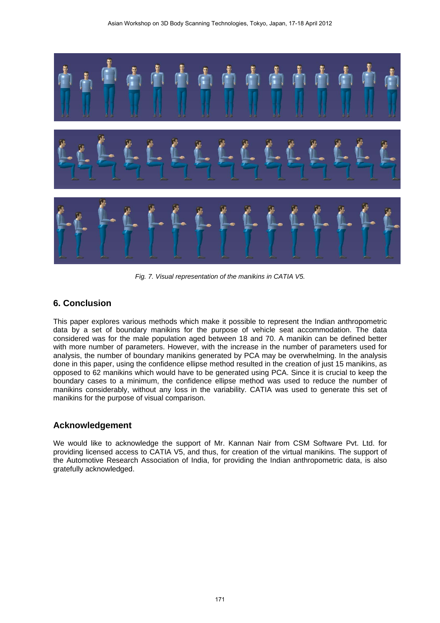

*Fig. 7. Visual representation of the manikins in CATIA V5.* 

## **6. Conclusion**

This paper explores various methods which make it possible to represent the Indian anthropometric data by a set of boundary manikins for the purpose of vehicle seat accommodation. The data considered was for the male population aged between 18 and 70. A manikin can be defined better with more number of parameters. However, with the increase in the number of parameters used for analysis, the number of boundary manikins generated by PCA may be overwhelming. In the analysis done in this paper, using the confidence ellipse method resulted in the creation of just 15 manikins, as opposed to 62 manikins which would have to be generated using PCA. Since it is crucial to keep the boundary cases to a minimum, the confidence ellipse method was used to reduce the number of manikins considerably, without any loss in the variability. CATIA was used to generate this set of manikins for the purpose of visual comparison.

## **Acknowledgement**

We would like to acknowledge the support of Mr. Kannan Nair from CSM Software Pvt. Ltd. for providing licensed access to CATIA V5, and thus, for creation of the virtual manikins. The support of the Automotive Research Association of India, for providing the Indian anthropometric data, is also gratefully acknowledged.